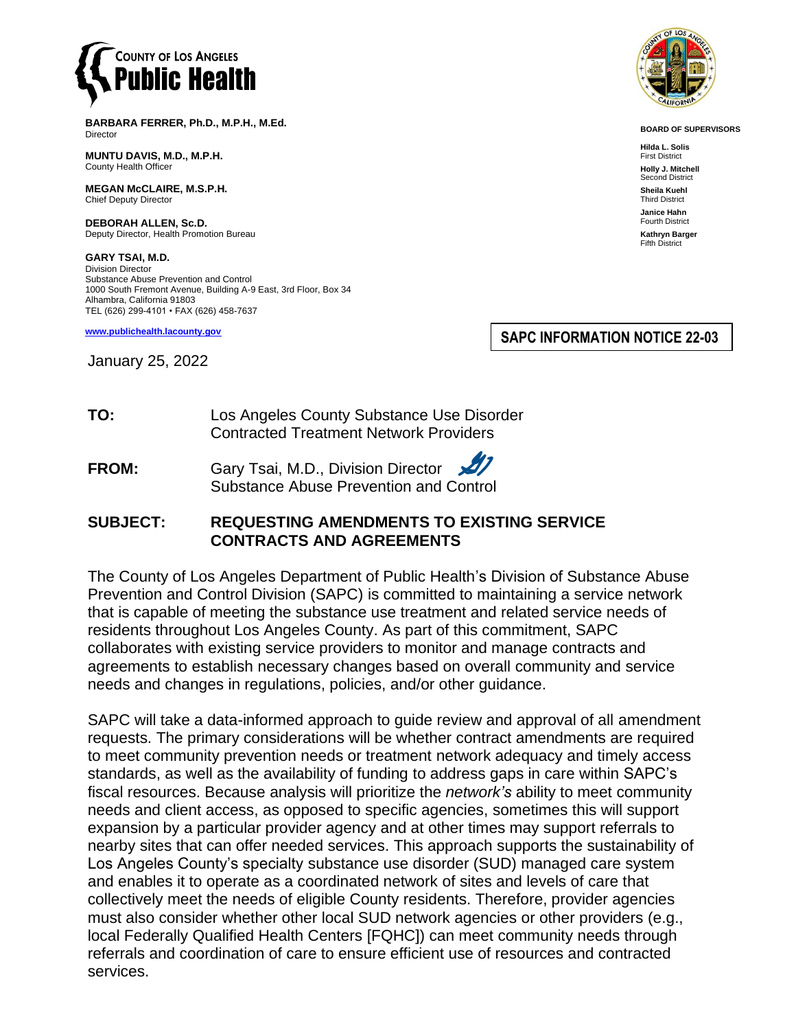

**BARBARA FERRER, Ph.D., M.P.H., M.Ed.** Director

**MUNTU DAVIS, M.D., M.P.H.** County Health Officer

**MEGAN McCLAIRE, M.S.P.H.** Chief Deputy Director

**DEBORAH ALLEN, Sc.D.** Deputy Director, Health Promotion Bureau

**GARY TSAI, M.D.** Division Director Substance Abuse Prevention and Control 1000 South Fremont Avenue, Building A-9 East, 3rd Floor, Box 34 Alhambra, California 91803 TEL (626) 299-4101 • FAX (626) 458-7637

**[www.publichealth.lacounty.gov](http://www.publichealth.lacounty.gov/)**

January 25, 2022

**SAPC INFORMATION NOTICE 22-03**

**TO:** Los Angeles County Substance Use Disorder Contracted Treatment Network Providers

**FROM:** Gary Tsai, M.D., Division Director Substance Abuse Prevention and Control

## **SUBJECT: REQUESTING AMENDMENTS TO EXISTING SERVICE CONTRACTS AND AGREEMENTS**

The County of Los Angeles Department of Public Health's Division of Substance Abuse Prevention and Control Division (SAPC) is committed to maintaining a service network that is capable of meeting the substance use treatment and related service needs of residents throughout Los Angeles County. As part of this commitment, SAPC collaborates with existing service providers to monitor and manage contracts and agreements to establish necessary changes based on overall community and service needs and changes in regulations, policies, and/or other guidance.

SAPC will take a data-informed approach to guide review and approval of all amendment requests. The primary considerations will be whether contract amendments are required to meet community prevention needs or treatment network adequacy and timely access standards, as well as the availability of funding to address gaps in care within SAPC's fiscal resources. Because analysis will prioritize the *network's* ability to meet community needs and client access, as opposed to specific agencies, sometimes this will support expansion by a particular provider agency and at other times may support referrals to nearby sites that can offer needed services. This approach supports the sustainability of Los Angeles County's specialty substance use disorder (SUD) managed care system and enables it to operate as a coordinated network of sites and levels of care that collectively meet the needs of eligible County residents. Therefore, provider agencies must also consider whether other local SUD network agencies or other providers (e.g., local Federally Qualified Health Centers [FQHC]) can meet community needs through referrals and coordination of care to ensure efficient use of resources and contracted services.



**BOARD OF SUPERVISORS**

**Hilda L. Solis** First District **Holly J. Mitchell** Second District **Sheila Kuehl** Third District **Janice Hahn** Fourth District **Kathryn Barger** Fifth District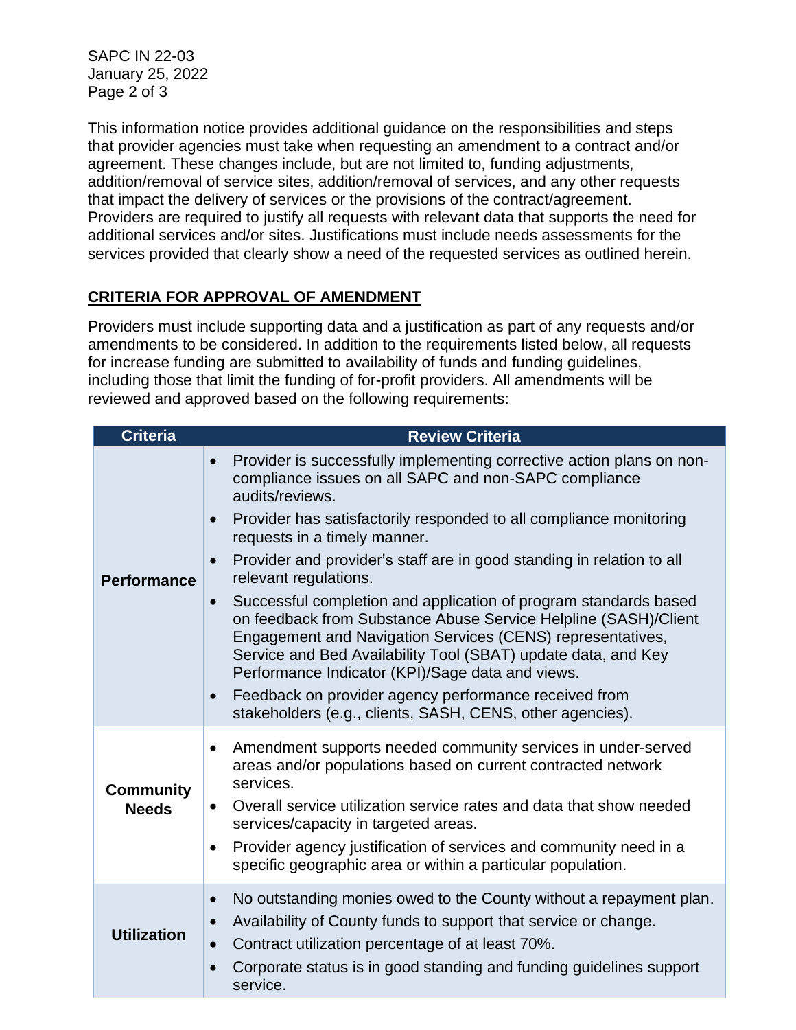SAPC IN 22-03 January 25, 2022 Page 2 of 3

This information notice provides additional guidance on the responsibilities and steps that provider agencies must take when requesting an amendment to a contract and/or agreement. These changes include, but are not limited to, funding adjustments, addition/removal of service sites, addition/removal of services, and any other requests that impact the delivery of services or the provisions of the contract/agreement. Providers are required to justify all requests with relevant data that supports the need for additional services and/or sites. Justifications must include needs assessments for the services provided that clearly show a need of the requested services as outlined herein.

## **CRITERIA FOR APPROVAL OF AMENDMENT**

Providers must include supporting data and a justification as part of any requests and/or amendments to be considered. In addition to the requirements listed below, all requests for increase funding are submitted to availability of funds and funding guidelines, including those that limit the funding of for-profit providers. All amendments will be reviewed and approved based on the following requirements:

| <b>Criteria</b>                  | <b>Review Criteria</b>                                                                                                                                                                                                                                                                                                                                                                                                                                                 |
|----------------------------------|------------------------------------------------------------------------------------------------------------------------------------------------------------------------------------------------------------------------------------------------------------------------------------------------------------------------------------------------------------------------------------------------------------------------------------------------------------------------|
| <b>Performance</b>               | Provider is successfully implementing corrective action plans on non-<br>$\bullet$<br>compliance issues on all SAPC and non-SAPC compliance<br>audits/reviews.                                                                                                                                                                                                                                                                                                         |
|                                  | Provider has satisfactorily responded to all compliance monitoring<br>$\bullet$<br>requests in a timely manner.                                                                                                                                                                                                                                                                                                                                                        |
|                                  | Provider and provider's staff are in good standing in relation to all<br>$\bullet$<br>relevant regulations.                                                                                                                                                                                                                                                                                                                                                            |
|                                  | Successful completion and application of program standards based<br>$\bullet$<br>on feedback from Substance Abuse Service Helpline (SASH)/Client<br>Engagement and Navigation Services (CENS) representatives,<br>Service and Bed Availability Tool (SBAT) update data, and Key<br>Performance Indicator (KPI)/Sage data and views.<br>Feedback on provider agency performance received from<br>$\bullet$<br>stakeholders (e.g., clients, SASH, CENS, other agencies). |
| <b>Community</b><br><b>Needs</b> | Amendment supports needed community services in under-served<br>٠<br>areas and/or populations based on current contracted network<br>services.                                                                                                                                                                                                                                                                                                                         |
|                                  | Overall service utilization service rates and data that show needed<br>$\bullet$<br>services/capacity in targeted areas.                                                                                                                                                                                                                                                                                                                                               |
|                                  | Provider agency justification of services and community need in a<br>$\bullet$<br>specific geographic area or within a particular population.                                                                                                                                                                                                                                                                                                                          |
| <b>Utilization</b>               | No outstanding monies owed to the County without a repayment plan.<br>$\bullet$<br>Availability of County funds to support that service or change.<br>$\bullet$                                                                                                                                                                                                                                                                                                        |
|                                  | Contract utilization percentage of at least 70%.<br>$\bullet$                                                                                                                                                                                                                                                                                                                                                                                                          |
|                                  | Corporate status is in good standing and funding guidelines support<br>$\bullet$<br>service.                                                                                                                                                                                                                                                                                                                                                                           |